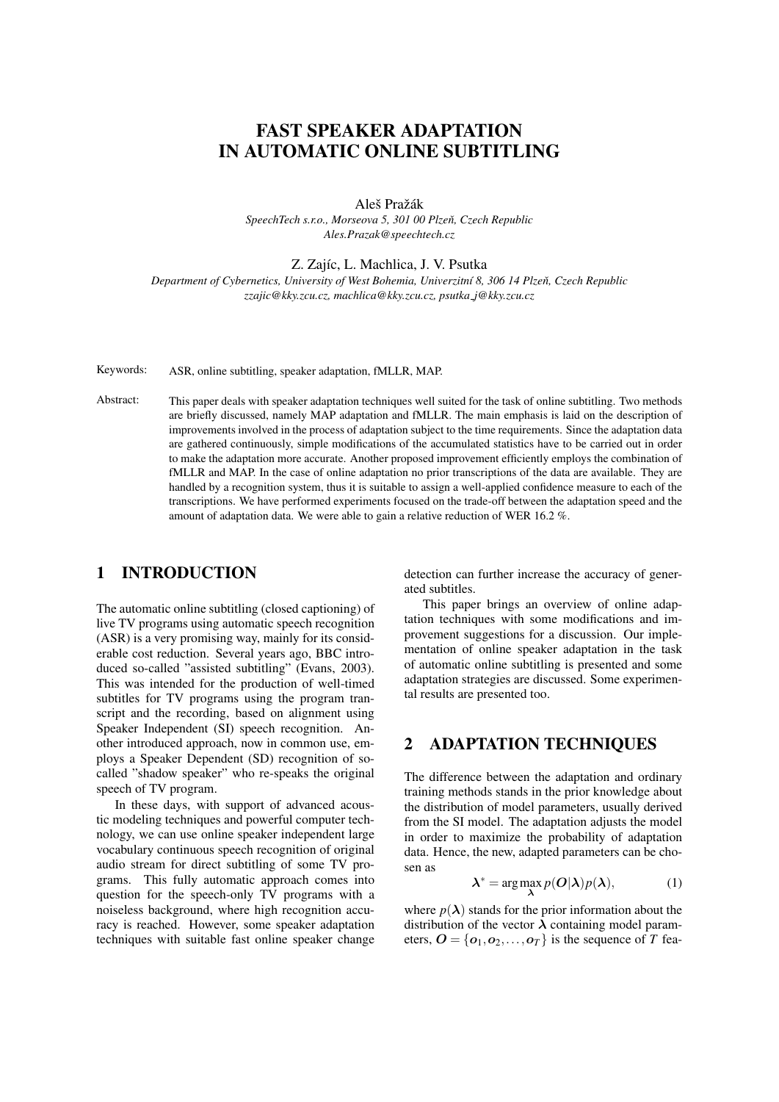# FAST SPEAKER ADAPTATION IN AUTOMATIC ONLINE SUBTITLING

Aleš Pražák

*SpeechTech s.r.o., Morseova 5, 301 00 Plzen, Czech Republic ˇ Ales.Prazak@speechtech.cz*

Z. Zajíc, L. Machlica, J. V. Psutka

*Department of Cybernetics, University of West Bohemia, Univerzitn´ı 8, 306 14 Plzen, Czech Republic ˇ zzajic@kky.zcu.cz, machlica@kky.zcu.cz, psutka j@kky.zcu.cz*

Keywords: ASR, online subtitling, speaker adaptation, fMLLR, MAP.

Abstract: This paper deals with speaker adaptation techniques well suited for the task of online subtitling. Two methods are briefly discussed, namely MAP adaptation and fMLLR. The main emphasis is laid on the description of improvements involved in the process of adaptation subject to the time requirements. Since the adaptation data are gathered continuously, simple modifications of the accumulated statistics have to be carried out in order to make the adaptation more accurate. Another proposed improvement efficiently employs the combination of fMLLR and MAP. In the case of online adaptation no prior transcriptions of the data are available. They are handled by a recognition system, thus it is suitable to assign a well-applied confidence measure to each of the transcriptions. We have performed experiments focused on the trade-off between the adaptation speed and the amount of adaptation data. We were able to gain a relative reduction of WER 16.2 %.

# 1 INTRODUCTION

The automatic online subtitling (closed captioning) of live TV programs using automatic speech recognition (ASR) is a very promising way, mainly for its considerable cost reduction. Several years ago, BBC introduced so-called "assisted subtitling" (Evans, 2003). This was intended for the production of well-timed subtitles for TV programs using the program transcript and the recording, based on alignment using Speaker Independent (SI) speech recognition. Another introduced approach, now in common use, employs a Speaker Dependent (SD) recognition of socalled "shadow speaker" who re-speaks the original speech of TV program.

In these days, with support of advanced acoustic modeling techniques and powerful computer technology, we can use online speaker independent large vocabulary continuous speech recognition of original audio stream for direct subtitling of some TV programs. This fully automatic approach comes into question for the speech-only  $\tilde{TV}$  programs with a noiseless background, where high recognition accuracy is reached. However, some speaker adaptation techniques with suitable fast online speaker change detection can further increase the accuracy of generated subtitles.

This paper brings an overview of online adaptation techniques with some modifications and improvement suggestions for a discussion. Our implementation of online speaker adaptation in the task of automatic online subtitling is presented and some adaptation strategies are discussed. Some experimental results are presented too.

# 2 ADAPTATION TECHNIQUES

The difference between the adaptation and ordinary training methods stands in the prior knowledge about the distribution of model parameters, usually derived from the SI model. The adaptation adjusts the model in order to maximize the probability of adaptation data. Hence, the new, adapted parameters can be chosen as

$$
\lambda^* = \arg\max_{\lambda} p(O|\lambda)p(\lambda), \tag{1}
$$

where  $p(\lambda)$  stands for the prior information about the distribution of the vector  $\lambda$  containing model parameters,  $\mathbf{O} = {\mathbf{o}_1, \mathbf{o}_2, ..., \mathbf{o}_T}$  is the sequence of *T* fea-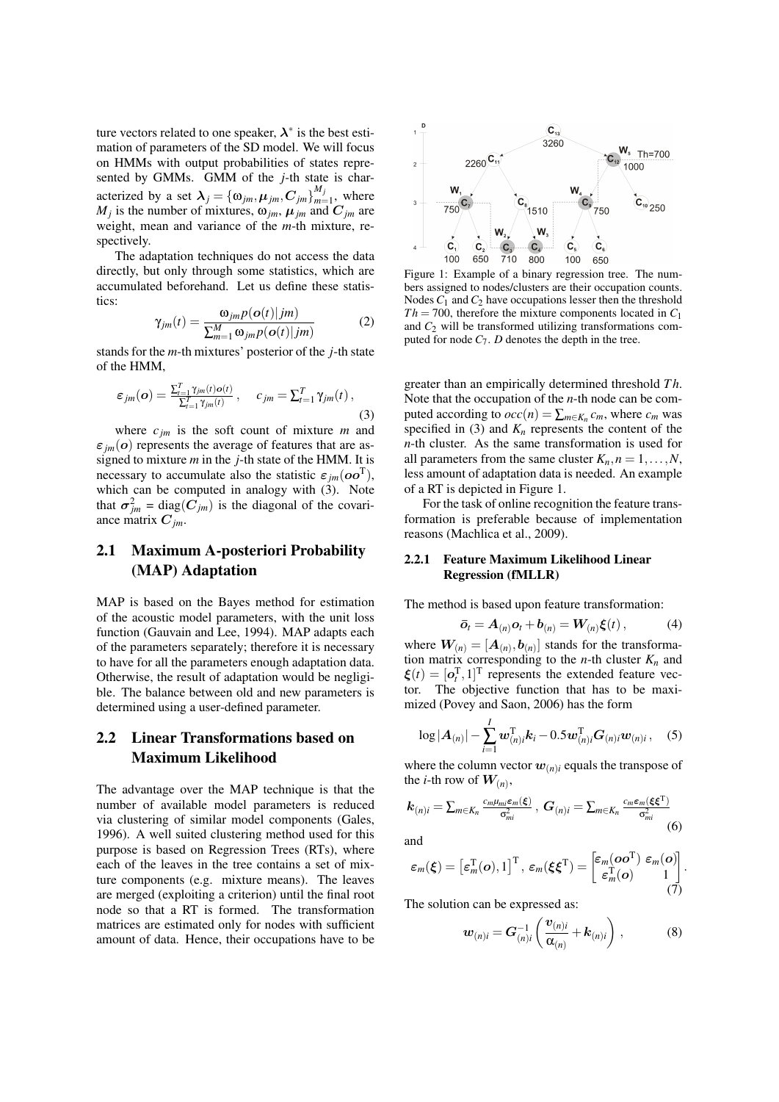ture vectors related to one speaker,  $\lambda^*$  is the best estimation of parameters of the SD model. We will focus on HMMs with output probabilities of states represented by GMMs. GMM of the *j*-th state is characterized by a set  $\boldsymbol{\lambda}_j = \{\omega_{jm}, \boldsymbol{\mu}_{jm}, \boldsymbol{C}_{jm}\}_{m=1}^{M_j}$  $\sum_{m=1}^{m}$ , where  $M_j$  is the number of mixtures,  $\omega_{jm}$ ,  $\mu_{jm}$  and  $C_{jm}$  are weight, mean and variance of the *m*-th mixture, respectively.

The adaptation techniques do not access the data directly, but only through some statistics, which are accumulated beforehand. Let us define these statistics:

$$
\gamma_{jm}(t) = \frac{\omega_{jm} p(o(t)|jm)}{\sum_{m=1}^{M} \omega_{jm} p(o(t)|jm)} \tag{2}
$$

stands for the *m*-th mixtures' posterior of the *j*-th state of the HMM,

$$
\varepsilon_{jm}(\boldsymbol{o}) = \frac{\sum_{t=1}^{T} \gamma_{jm}(t) o(t)}{\sum_{t=1}^{T} \gamma_{jm}(t)}, \quad c_{jm} = \sum_{t=1}^{T} \gamma_{jm}(t), \tag{3}
$$

where *cjm* is the soft count of mixture *m* and  $\varepsilon_{jm}(\boldsymbol{o})$  represents the average of features that are assigned to mixture *m* in the *j*-th state of the HMM. It is necessary to accumulate also the statistic  $\varepsilon_{jm}(\boldsymbol{oo}^T)$ , which can be computed in analogy with (3). Note that  $\sigma_{jm}^2 = \text{diag}(C_{jm})$  is the diagonal of the covariance matrix  $C_{jm}$ .

# 2.1 Maximum A-posteriori Probability (MAP) Adaptation

MAP is based on the Bayes method for estimation of the acoustic model parameters, with the unit loss function (Gauvain and Lee, 1994). MAP adapts each of the parameters separately; therefore it is necessary to have for all the parameters enough adaptation data. Otherwise, the result of adaptation would be negligible. The balance between old and new parameters is determined using a user-defined parameter.

# 2.2 Linear Transformations based on Maximum Likelihood

The advantage over the MAP technique is that the number of available model parameters is reduced via clustering of similar model components (Gales, 1996). A well suited clustering method used for this purpose is based on Regression Trees (RTs), where each of the leaves in the tree contains a set of mixture components (e.g. mixture means). The leaves are merged (exploiting a criterion) until the final root node so that a RT is formed. The transformation matrices are estimated only for nodes with sufficient amount of data. Hence, their occupations have to be



Figure 1: Example of a binary regression tree. The numbers assigned to nodes/clusters are their occupation counts. Nodes  $C_1$  and  $C_2$  have occupations lesser then the threshold  $Th = 700$ , therefore the mixture components located in  $C_1$ and  $C_2$  will be transformed utilizing transformations computed for node  $C_7$ .  $D$  denotes the depth in the tree.

greater than an empirically determined threshold *T h*. Note that the occupation of the *n*-th node can be computed according to  $occ(n) = \sum_{m \in K_n} c_m$ , where  $c_m$  was specified in (3) and  $K_n$  represents the content of the *n*-th cluster. As the same transformation is used for all parameters from the same cluster  $K_n, n = 1, \ldots, N$ , less amount of adaptation data is needed. An example of a RT is depicted in Figure 1.

For the task of online recognition the feature transformation is preferable because of implementation reasons (Machlica et al., 2009).

#### 2.2.1 Feature Maximum Likelihood Linear Regression (fMLLR)

The method is based upon feature transformation:

$$
\bar{\boldsymbol{o}}_t = \boldsymbol{A}_{(n)} \boldsymbol{o}_t + \boldsymbol{b}_{(n)} = \boldsymbol{W}_{(n)} \boldsymbol{\xi}(t) \,, \tag{4}
$$

where  $W_{(n)} = [A_{(n)}, b_{(n)}]$  stands for the transformation matrix corresponding to the *n*-th cluster  $K_n$  and  $\xi(t) = [\sigma_t^T, 1]^T$  represents the extended feature vector. The objective function that has to be maximized (Povey and Saon, 2006) has the form

$$
\log |A_{(n)}| - \sum_{i=1}^{I} \boldsymbol{w}_{(n)i}^{\mathrm{T}} \boldsymbol{k}_i - 0.5 \boldsymbol{w}_{(n)i}^{\mathrm{T}} \boldsymbol{G}_{(n)i} \boldsymbol{w}_{(n)i}, \quad (5)
$$

where the column vector  $w_{(n)i}$  equals the transpose of the *i*-th row of  $W_{(n)}$ ,

$$
\boldsymbol{k}_{(n)i} = \sum_{m \in K_n} \frac{c_m \mu_{mi} \varepsilon_m(\boldsymbol{\xi})}{\sigma_{mi}^2}, \ \boldsymbol{G}_{(n)i} = \sum_{m \in K_n} \frac{c_m \varepsilon_m(\boldsymbol{\xi} \boldsymbol{\xi}^T)}{\sigma_{mi}^2}
$$
(6)

and

$$
\varepsilon_m(\boldsymbol{\xi}) = \left[\varepsilon_m^{\mathrm{T}}(\boldsymbol{o}), 1\right]^{\mathrm{T}}, \ \varepsilon_m(\boldsymbol{\xi}\boldsymbol{\xi}^{\mathrm{T}}) = \begin{bmatrix} \varepsilon_m(\boldsymbol{o}\boldsymbol{o}^{\mathrm{T}}) & \varepsilon_m(\boldsymbol{o})\\ \varepsilon_m^{\mathrm{T}}(\boldsymbol{o}) & 1\\ 0 & (7) \end{bmatrix}.
$$

The solution can be expressed as:

$$
\boldsymbol{w}_{(n)i} = \boldsymbol{G}_{(n)i}^{-1} \left( \frac{\boldsymbol{v}_{(n)i}}{\boldsymbol{\alpha}_{(n)}} + \boldsymbol{k}_{(n)i} \right), \qquad (8)
$$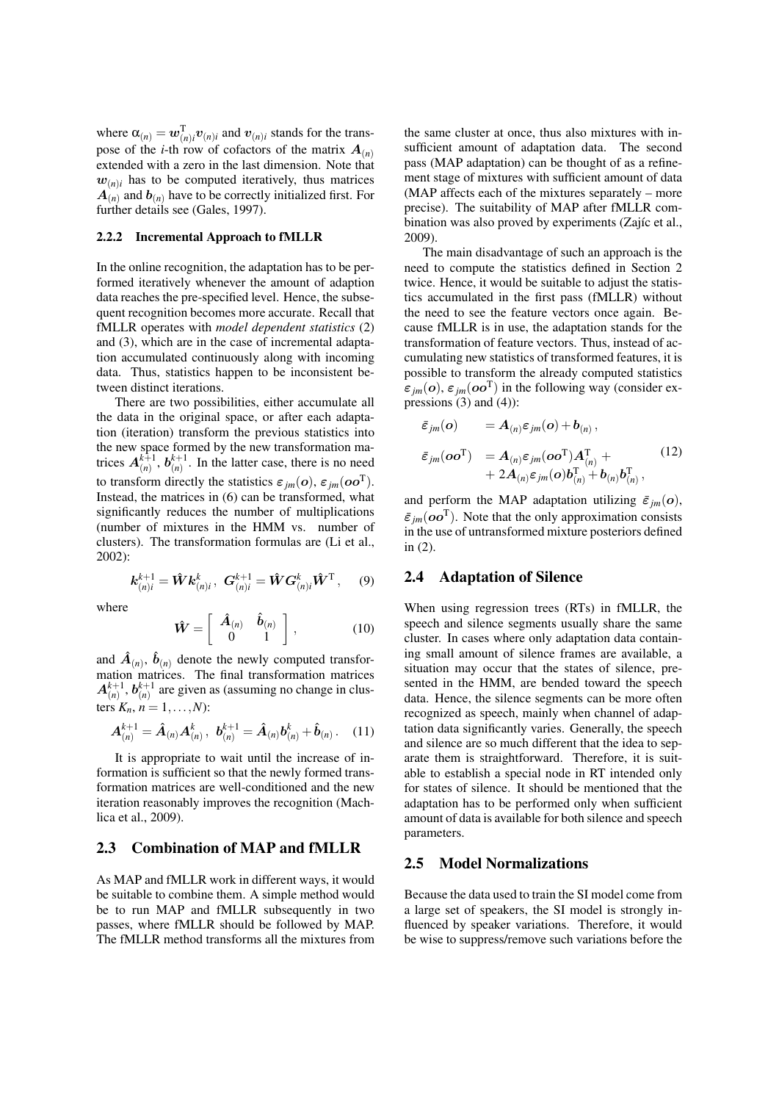where  $\alpha_{(n)} = \boldsymbol{w}_{(n)i}^{\mathrm{T}} \boldsymbol{v}_{(n)i}$  and  $\boldsymbol{v}_{(n)i}$  stands for the transpose of the *i*-th row of cofactors of the matrix  $A_{(n)}$ extended with a zero in the last dimension. Note that  $w_{(n)i}$  has to be computed iteratively, thus matrices  $\mathbf{A}_{(n)}$  and  $\mathbf{b}_{(n)}$  have to be correctly initialized first. For further details see (Gales, 1997).

#### 2.2.2 Incremental Approach to fMLLR

In the online recognition, the adaptation has to be performed iteratively whenever the amount of adaption data reaches the pre-specified level. Hence, the subsequent recognition becomes more accurate. Recall that fMLLR operates with *model dependent statistics* (2) and (3), which are in the case of incremental adaptation accumulated continuously along with incoming data. Thus, statistics happen to be inconsistent between distinct iterations.

There are two possibilities, either accumulate all the data in the original space, or after each adaptation (iteration) transform the previous statistics into the new space formed by the new transformation matrices  $A_{(n)}^{k+1}$ ,  $b_{(n)}^{k+1}$ . In the latter case, there is no need to transform directly the statistics  $\varepsilon_{jm}(\boldsymbol{o}), \varepsilon_{jm}(\boldsymbol{o}\boldsymbol{o}^{\mathrm{T}})$ . Instead, the matrices in (6) can be transformed, what significantly reduces the number of multiplications (number of mixtures in the HMM vs. number of clusters). The transformation formulas are (Li et al., 2002):

$$
\mathbf{k}_{(n)i}^{k+1} = \hat{\mathbf{W}} \mathbf{k}_{(n)i}^k, \ \mathbf{G}_{(n)i}^{k+1} = \hat{\mathbf{W}} \mathbf{G}_{(n)i}^k \hat{\mathbf{W}}^{\mathrm{T}}, \quad (9)
$$

where

$$
\hat{\mathbf{W}} = \left[ \begin{array}{cc} \hat{\mathbf{A}}_{(n)} & \hat{\mathbf{b}}_{(n)} \\ 0 & 1 \end{array} \right],\tag{10}
$$

and  $\hat{A}_{(n)}$ ,  $\hat{b}_{(n)}$  denote the newly computed transformation matrices. The final transformation matrices  $A_{(n)}^{k+1}, b_{(n)}^{k+1}$  are given as (assuming no change in clusters  $K_n$ ,  $n = 1,...,N$ :

$$
\mathbf{A}_{(n)}^{k+1} = \hat{\mathbf{A}}_{(n)} \mathbf{A}_{(n)}^k, \; \mathbf{b}_{(n)}^{k+1} = \hat{\mathbf{A}}_{(n)} \mathbf{b}_{(n)}^k + \hat{\mathbf{b}}_{(n)} \,. \tag{11}
$$

It is appropriate to wait until the increase of information is sufficient so that the newly formed transformation matrices are well-conditioned and the new iteration reasonably improves the recognition (Machlica et al., 2009).

### 2.3 Combination of MAP and fMLLR

As MAP and fMLLR work in different ways, it would be suitable to combine them. A simple method would be to run MAP and fMLLR subsequently in two passes, where fMLLR should be followed by MAP. The fMLLR method transforms all the mixtures from

the same cluster at once, thus also mixtures with insufficient amount of adaptation data. The second pass (MAP adaptation) can be thought of as a refinement stage of mixtures with sufficient amount of data (MAP affects each of the mixtures separately – more precise). The suitability of MAP after fMLLR combination was also proved by experiments (Zajíc et al., 2009).

The main disadvantage of such an approach is the need to compute the statistics defined in Section 2 twice. Hence, it would be suitable to adjust the statistics accumulated in the first pass (fMLLR) without the need to see the feature vectors once again. Because fMLLR is in use, the adaptation stands for the transformation of feature vectors. Thus, instead of accumulating new statistics of transformed features, it is possible to transform the already computed statistics  $\varepsilon_{jm}(\boldsymbol{o}), \varepsilon_{jm}(\boldsymbol{o}\boldsymbol{o}^{\mathrm{T}})$  in the following way (consider expressions  $(3)$  and  $(4)$ :

$$
\begin{array}{ll}\n\varepsilon_{jm}(\boldsymbol{o}) & = A_{(n)}\varepsilon_{jm}(\boldsymbol{o}) + b_{(n)}\,, \\
\varepsilon_{jm}(\boldsymbol{o}\boldsymbol{o}^{\mathrm{T}}) & = A_{(n)}\varepsilon_{jm}(\boldsymbol{o}\boldsymbol{o}^{\mathrm{T}})A_{(n)}^{\mathrm{T}} + \\
&\quad + 2A_{(n)}\varepsilon_{jm}(\boldsymbol{o})b_{(n)}^{\mathrm{T}} + b_{(n)}b_{(n)}^{\mathrm{T}}\,,\n\end{array}\n\tag{12}
$$

and perform the MAP adaptation utilizing  $\bar{\varepsilon}_{im}(\boldsymbol{o})$ ,  $\bar{\varepsilon}_{jm}(\boldsymbol{oo}^{\mathrm{T}})$ . Note that the only approximation consists in the use of untransformed mixture posteriors defined in (2).

### 2.4 Adaptation of Silence

When using regression trees (RTs) in fMLLR, the speech and silence segments usually share the same cluster. In cases where only adaptation data containing small amount of silence frames are available, a situation may occur that the states of silence, presented in the HMM, are bended toward the speech data. Hence, the silence segments can be more often recognized as speech, mainly when channel of adaptation data significantly varies. Generally, the speech and silence are so much different that the idea to separate them is straightforward. Therefore, it is suitable to establish a special node in RT intended only for states of silence. It should be mentioned that the adaptation has to be performed only when sufficient amount of data is available for both silence and speech parameters.

#### 2.5 Model Normalizations

Because the data used to train the SI model come from a large set of speakers, the SI model is strongly influenced by speaker variations. Therefore, it would be wise to suppress/remove such variations before the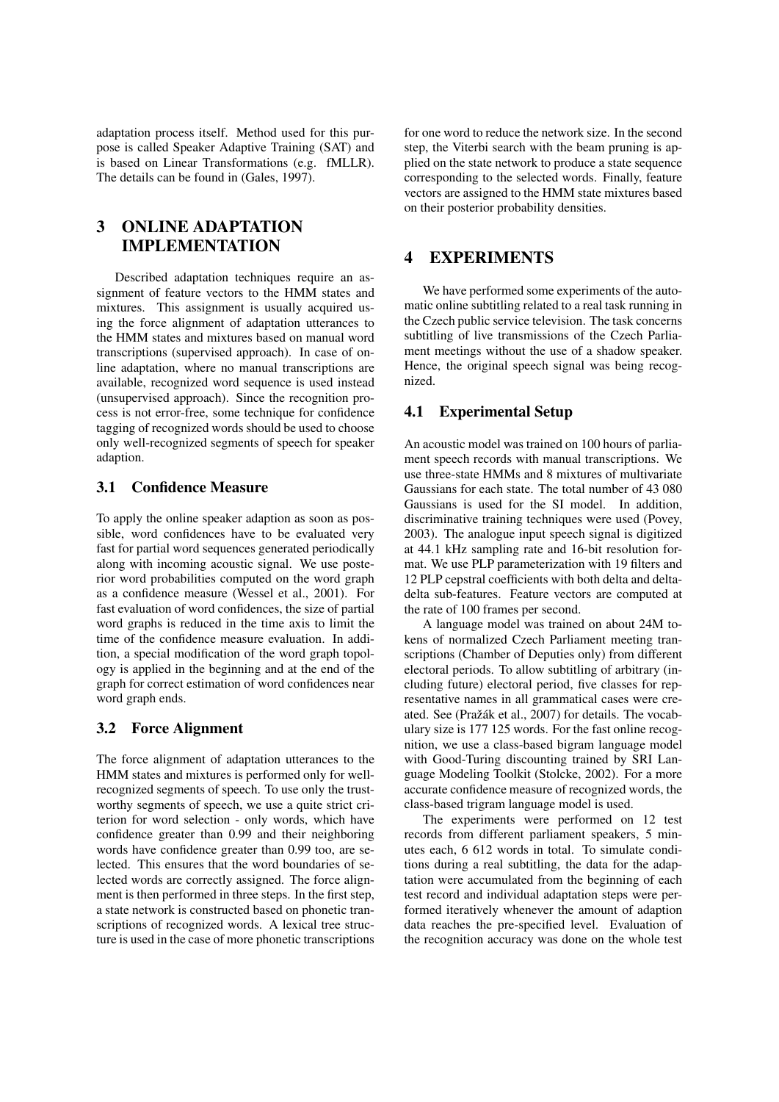adaptation process itself. Method used for this purpose is called Speaker Adaptive Training (SAT) and is based on Linear Transformations (e.g. fMLLR). The details can be found in (Gales, 1997).

# 3 ONLINE ADAPTATION IMPLEMENTATION

Described adaptation techniques require an assignment of feature vectors to the HMM states and mixtures. This assignment is usually acquired using the force alignment of adaptation utterances to the HMM states and mixtures based on manual word transcriptions (supervised approach). In case of online adaptation, where no manual transcriptions are available, recognized word sequence is used instead (unsupervised approach). Since the recognition process is not error-free, some technique for confidence tagging of recognized words should be used to choose only well-recognized segments of speech for speaker adaption.

### 3.1 Confidence Measure

To apply the online speaker adaption as soon as possible, word confidences have to be evaluated very fast for partial word sequences generated periodically along with incoming acoustic signal. We use posterior word probabilities computed on the word graph as a confidence measure (Wessel et al., 2001). For fast evaluation of word confidences, the size of partial word graphs is reduced in the time axis to limit the time of the confidence measure evaluation. In addition, a special modification of the word graph topology is applied in the beginning and at the end of the graph for correct estimation of word confidences near word graph ends.

# 3.2 Force Alignment

The force alignment of adaptation utterances to the HMM states and mixtures is performed only for wellrecognized segments of speech. To use only the trustworthy segments of speech, we use a quite strict criterion for word selection - only words, which have confidence greater than 0.99 and their neighboring words have confidence greater than 0.99 too, are selected. This ensures that the word boundaries of selected words are correctly assigned. The force alignment is then performed in three steps. In the first step, a state network is constructed based on phonetic transcriptions of recognized words. A lexical tree structure is used in the case of more phonetic transcriptions

for one word to reduce the network size. In the second step, the Viterbi search with the beam pruning is applied on the state network to produce a state sequence corresponding to the selected words. Finally, feature vectors are assigned to the HMM state mixtures based on their posterior probability densities.

# 4 EXPERIMENTS

We have performed some experiments of the automatic online subtitling related to a real task running in the Czech public service television. The task concerns subtitling of live transmissions of the Czech Parliament meetings without the use of a shadow speaker. Hence, the original speech signal was being recognized.

# 4.1 Experimental Setup

An acoustic model was trained on 100 hours of parliament speech records with manual transcriptions. We use three-state HMMs and 8 mixtures of multivariate Gaussians for each state. The total number of 43 080 Gaussians is used for the SI model. In addition, discriminative training techniques were used (Povey, 2003). The analogue input speech signal is digitized at 44.1 kHz sampling rate and 16-bit resolution format. We use PLP parameterization with 19 filters and 12 PLP cepstral coefficients with both delta and deltadelta sub-features. Feature vectors are computed at the rate of 100 frames per second.

A language model was trained on about 24M tokens of normalized Czech Parliament meeting transcriptions (Chamber of Deputies only) from different electoral periods. To allow subtitling of arbitrary (including future) electoral period, five classes for representative names in all grammatical cases were created. See (Pražák et al., 2007) for details. The vocabulary size is 177 125 words. For the fast online recognition, we use a class-based bigram language model with Good-Turing discounting trained by SRI Language Modeling Toolkit (Stolcke, 2002). For a more accurate confidence measure of recognized words, the class-based trigram language model is used.

The experiments were performed on 12 test records from different parliament speakers, 5 minutes each, 6 612 words in total. To simulate conditions during a real subtitling, the data for the adaptation were accumulated from the beginning of each test record and individual adaptation steps were performed iteratively whenever the amount of adaption data reaches the pre-specified level. Evaluation of the recognition accuracy was done on the whole test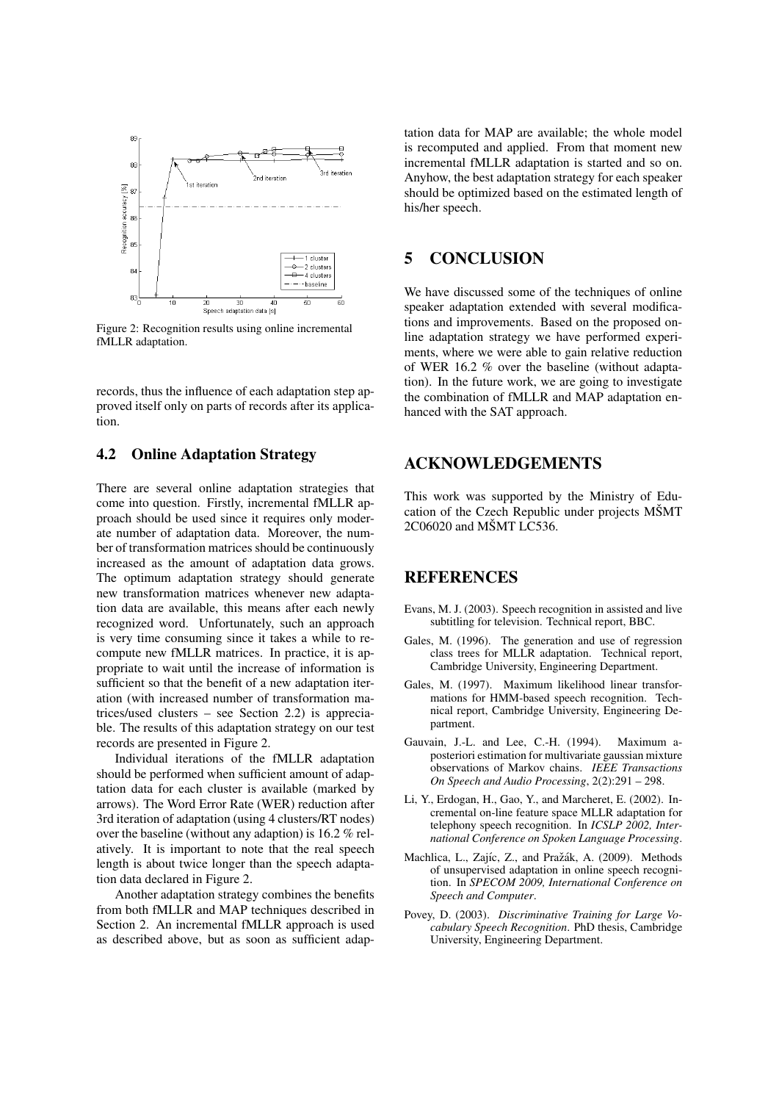

Figure 2: Recognition results using online incremental fMLLR adaptation.

records, thus the influence of each adaptation step approved itself only on parts of records after its application.

# 4.2 Online Adaptation Strategy

There are several online adaptation strategies that come into question. Firstly, incremental fMLLR approach should be used since it requires only moderate number of adaptation data. Moreover, the number of transformation matrices should be continuously increased as the amount of adaptation data grows. The optimum adaptation strategy should generate new transformation matrices whenever new adaptation data are available, this means after each newly recognized word. Unfortunately, such an approach is very time consuming since it takes a while to recompute new fMLLR matrices. In practice, it is appropriate to wait until the increase of information is sufficient so that the benefit of a new adaptation iteration (with increased number of transformation matrices/used clusters – see Section 2.2) is appreciable. The results of this adaptation strategy on our test records are presented in Figure 2.

Individual iterations of the fMLLR adaptation should be performed when sufficient amount of adaptation data for each cluster is available (marked by arrows). The Word Error Rate (WER) reduction after 3rd iteration of adaptation (using 4 clusters/RT nodes) over the baseline (without any adaption) is 16.2 % relatively. It is important to note that the real speech length is about twice longer than the speech adaptation data declared in Figure 2.

Another adaptation strategy combines the benefits from both fMLLR and MAP techniques described in Section 2. An incremental fMLLR approach is used as described above, but as soon as sufficient adap-

tation data for MAP are available; the whole model is recomputed and applied. From that moment new incremental fMLLR adaptation is started and so on. Anyhow, the best adaptation strategy for each speaker should be optimized based on the estimated length of his/her speech.

## 5 CONCLUSION

We have discussed some of the techniques of online speaker adaptation extended with several modifications and improvements. Based on the proposed online adaptation strategy we have performed experiments, where we were able to gain relative reduction of WER 16.2 % over the baseline (without adaptation). In the future work, we are going to investigate the combination of fMLLR and MAP adaptation enhanced with the SAT approach.

## ACKNOWLEDGEMENTS

This work was supported by the Ministry of Education of the Czech Republic under projects MŠMT 2C06020 and MŠMT LC536.

## REFERENCES

- Evans, M. J. (2003). Speech recognition in assisted and live subtitling for television. Technical report, BBC.
- Gales, M. (1996). The generation and use of regression class trees for MLLR adaptation. Technical report, Cambridge University, Engineering Department.
- Gales, M. (1997). Maximum likelihood linear transformations for HMM-based speech recognition. Technical report, Cambridge University, Engineering Department.
- Gauvain, J.-L. and Lee, C.-H. (1994). Maximum aposteriori estimation for multivariate gaussian mixture observations of Markov chains. *IEEE Transactions On Speech and Audio Processing*, 2(2):291 – 298.
- Li, Y., Erdogan, H., Gao, Y., and Marcheret, E. (2002). Incremental on-line feature space MLLR adaptation for telephony speech recognition. In *ICSLP 2002, International Conference on Spoken Language Processing*.
- Machlica, L., Zajíc, Z., and Pražák, A. (2009). Methods of unsupervised adaptation in online speech recognition. In *SPECOM 2009, International Conference on Speech and Computer*.
- Povey, D. (2003). *Discriminative Training for Large Vocabulary Speech Recognition*. PhD thesis, Cambridge University, Engineering Department.